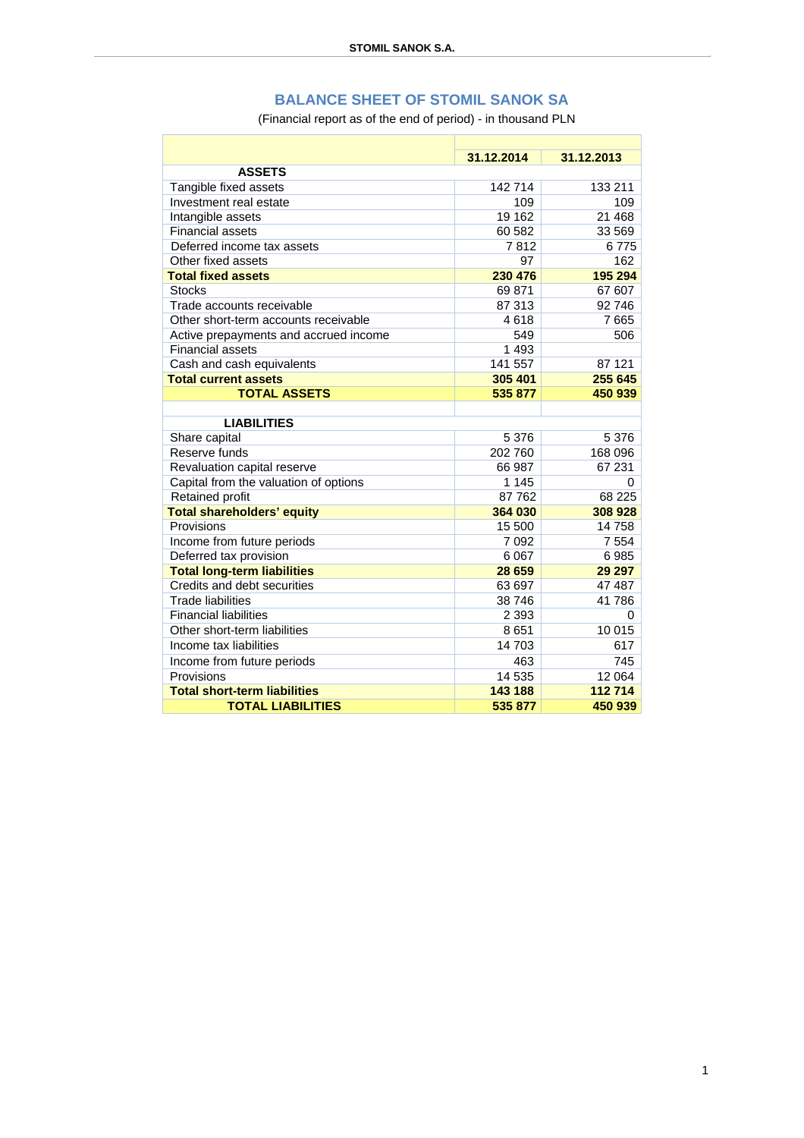## **BALANCE SHEET OF STOMIL SANOK SA**

(Financial report as of the end of period) - in thousand PLN

|                                       | 31.12.2014 | 31.12.2013 |
|---------------------------------------|------------|------------|
| <b>ASSETS</b>                         |            |            |
| Tangible fixed assets                 | 142 714    | 133 211    |
| Investment real estate                | 109        | 109        |
| Intangible assets                     | 19 162     | 21 4 68    |
| <b>Financial assets</b>               | 60 582     | 33 569     |
| Deferred income tax assets            | 7812       | 6775       |
| Other fixed assets                    | 97         | 162        |
| <b>Total fixed assets</b>             | 230 476    | 195 294    |
| <b>Stocks</b>                         | 69871      | 67 607     |
| Trade accounts receivable             | 87 313     | 92746      |
| Other short-term accounts receivable  | 4618       | 7665       |
| Active prepayments and accrued income | 549        | 506        |
| Financial assets                      | 1 4 9 3    |            |
| Cash and cash equivalents             | 141 557    | 87 121     |
| <b>Total current assets</b>           | 305 401    | 255 645    |
| <b>TOTAL ASSETS</b>                   | 535 877    | 450 939    |
|                                       |            |            |
| <b>LIABILITIES</b>                    |            |            |
| Share capital                         | 5 3 7 6    | 5 3 7 6    |
| Reserve funds                         | 202 760    | 168 096    |
| Revaluation capital reserve           | 66 987     | 67 231     |
| Capital from the valuation of options | 1 1 4 5    | $\Omega$   |
| Retained profit                       | 87 762     | 68 225     |
| <b>Total shareholders' equity</b>     | 364 030    | 308 928    |
| Provisions                            | 15 500     | 14758      |
| Income from future periods            | 7 0 9 2    | 7 5 5 4    |
| Deferred tax provision                | 6 0 67     | 6985       |
| <b>Total long-term liabilities</b>    | 28 659     | 29 29 7    |
| Credits and debt securities           | 63 697     | 47 487     |
| <b>Trade liabilities</b>              | 38746      | 41786      |
| <b>Financial liabilities</b>          | 2 3 9 3    | 0          |
| Other short-term liabilities          | 8 6 5 1    | 10 015     |
| Income tax liabilities                | 14 703     | 617        |
| Income from future periods            | 463        | 745        |
| Provisions                            | 14 535     | 12 064     |
| <b>Total short-term liabilities</b>   | 143 188    | 112714     |
| <b>TOTAL LIABILITIES</b>              | 535 877    | 450 939    |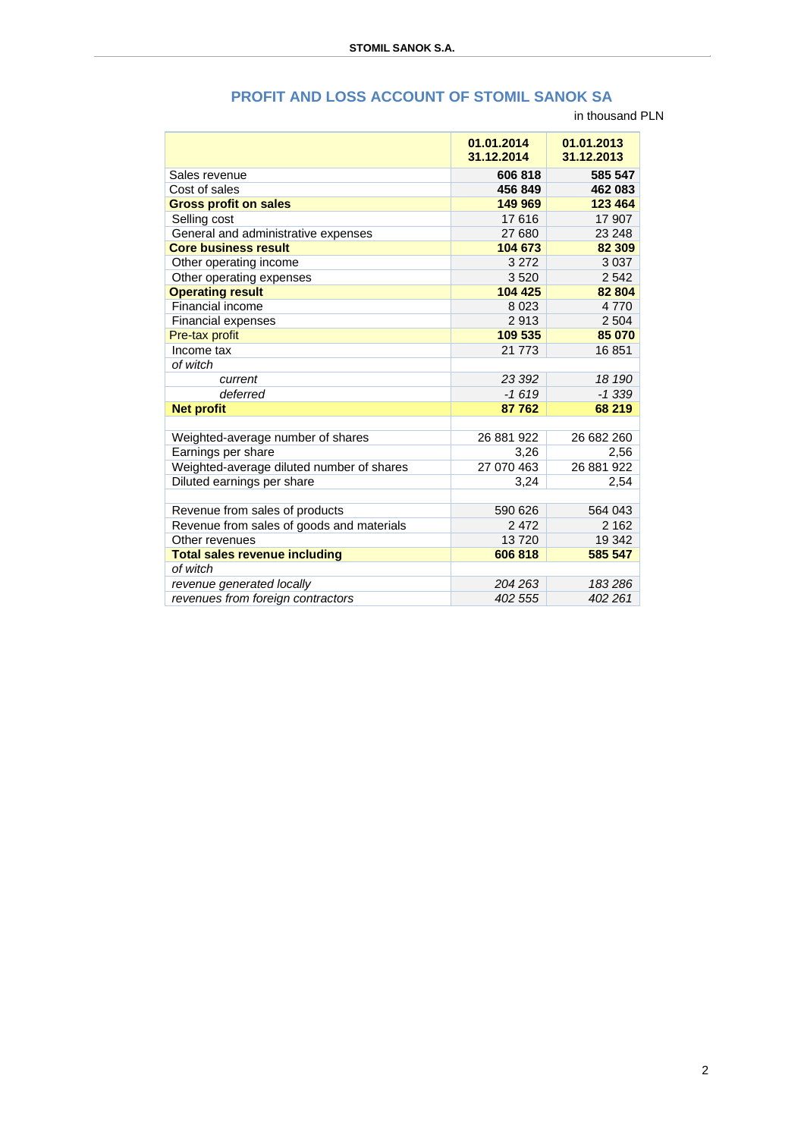|                                           | 01.01.2014<br>31.12.2014 | 01.01.2013<br>31.12.2013 |
|-------------------------------------------|--------------------------|--------------------------|
| Sales revenue                             | 606 818                  | 585 547                  |
| Cost of sales                             | 456 849                  | 462 083                  |
| <b>Gross profit on sales</b>              | 149 969                  | 123 464                  |
| Selling cost                              | 17616                    | 17 907                   |
| General and administrative expenses       | 27 680                   | 23 248                   |
| <b>Core business result</b>               | 104 673                  | 82 309                   |
| Other operating income                    | 3 2 7 2                  | 3 0 3 7                  |
| Other operating expenses                  | 3520                     | 2 5 4 2                  |
| <b>Operating result</b>                   | 104 425                  | 82 804                   |
| Financial income                          | 8 0 2 3                  | 4770                     |
| Financial expenses                        | 2913                     | 2 5 0 4                  |
| Pre-tax profit                            | 109 535                  | 85 070                   |
| Income tax                                | 21 773                   | 16851                    |
| of witch                                  |                          |                          |
| current                                   | 23 392                   | 18 190                   |
| deferred                                  | $-1619$                  | $-1339$                  |
| <b>Net profit</b>                         | 87762                    | 68 219                   |
|                                           |                          |                          |
| Weighted-average number of shares         | 26 881 922               | 26 682 260               |
| Earnings per share                        | 3,26                     | 2,56                     |
| Weighted-average diluted number of shares | 27 070 463               | 26 881 922               |
| Diluted earnings per share                | 3,24                     | 2,54                     |
|                                           |                          |                          |
| Revenue from sales of products            | 590 626                  | 564 043                  |
| Revenue from sales of goods and materials | 2472                     | 2 1 6 2                  |
| Other revenues                            | 13720                    | 19 342                   |
| <b>Total sales revenue including</b>      | 606 818                  | 585 547                  |
| of witch                                  |                          |                          |
| revenue generated locally                 | 204 263                  | 183286                   |
| revenues from foreign contractors         | 402 555                  | 402 261                  |

## **PROFIT AND LOSS ACCOUNT OF STOMIL SANOK SA**

in thousand PLN